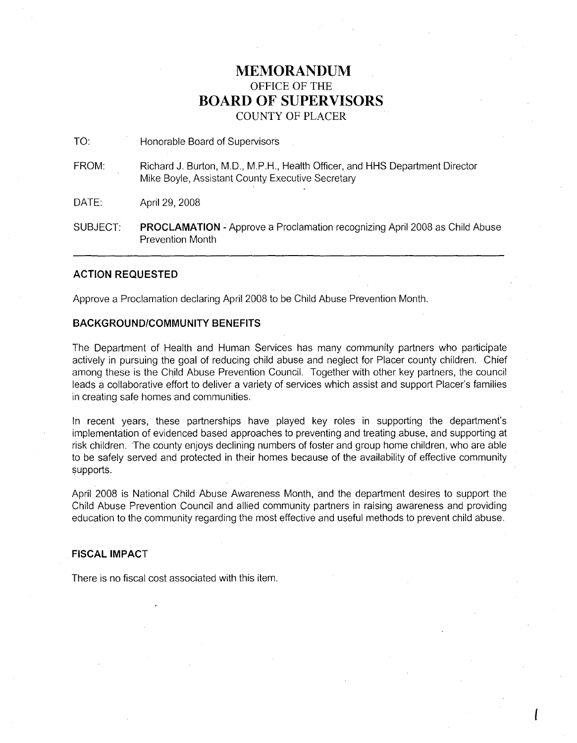## **MEMORANDUM** OFFICE OF THE **BOARD OF SUPERVISORS** COUNTY OF PLACER

TO: Honorable Board of Supervisors

FROM: Richard J. Burton, MD., M.P.H., Health Officer, and HHS Department Director Mike Boyle, Assistant County Executive Secretary

DATE: April 29, 2008

SUBJECT: **PROCLAMATION** - Approve a Proclamation recognizing April 2008 as Child Abuse Prevention Month

## **ACTION REQUESTED**

Approve a Proclamation declaring April 2008 to be Child Abuse Prevention Month.

## **BACKGROUND/COMMUNITY BENEFITS**

The Department of Health and Human Services has many community partners who participate actively in pursuing the goal of reducing child abuse and neglect for Placer county children. Chief among these is the Child Abuse Prevention Council. Together with other key partners, the council leads a collaborative effort to deliver a variety of services which assist and support Placer's families in creating safe homes and communities.

In recent years, these partnerships have played key roles in supporting the department's implementation of evidenced based approaches to preventing and treating abuse, and supporting at risk children. The county enjoys declining numbers of foster and group home children, who are able to be safely served and protected in their homes because of the availability of effective community supports.

April 2008 is National Child Abuse Awareness Month, and the department desires to support the Child Abuse Prevention Council and allied community partners in raising awareness and providing education to the community regarding the most effective and useful methods to prevent child abuse.

I

## **FISCAL IMPACT**

There is no fiscal cost associated with this item.